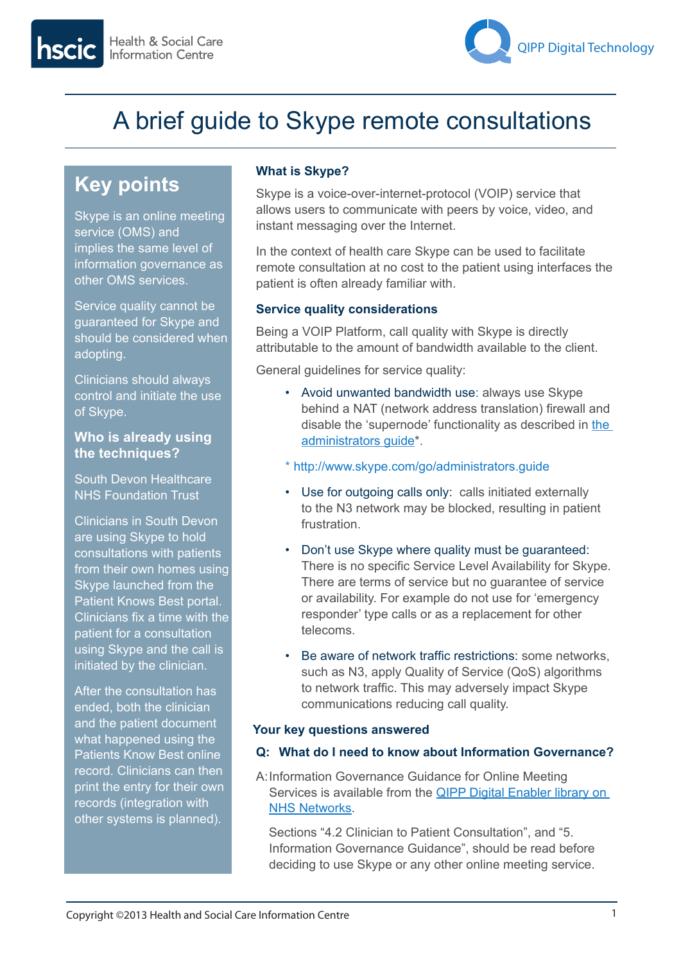

# A brief guide to Skype remote consultations

## **Key points**

Skype is an online meeting service (OMS) and implies the same level of information governance as other OMS services.

Service quality cannot be guaranteed for Skype and should be considered when adopting.

Clinicians should always control and initiate the use of Skype.

#### **Who is already using the techniques?**

South Devon Healthcare NHS Foundation Trust

Clinicians in South Devon are using Skype to hold consultations with patients from their own homes using Skype launched from the Patient Knows Best portal. Clinicians fix a time with the patient for a consultation using Skype and the call is initiated by the clinician.

After the consultation has ended, both the clinician and the patient document what happened using the Patients Know Best online record. Clinicians can then print the entry for their own records (integration with other systems is planned).

### **What is Skype?**

Skype is a voice-over-internet-protocol (VOIP) service that allows users to communicate with peers by voice, video, and instant messaging over the Internet.

In the context of health care Skype can be used to facilitate remote consultation at no cost to the patient using interfaces the patient is often already familiar with.

#### **Service quality considerations**

Being a VOIP Platform, call quality with Skype is directly attributable to the amount of bandwidth available to the client.

General guidelines for service quality:

- Avoid unwanted bandwidth use: always use Skype behind a NAT (network address translation) firewall and disable the 'supernode' functionality as described in [the](http://www.skype.com/go/administrators.guide)  [administrators guide\\*](http://www.skype.com/go/administrators.guide).
- \* <http://www.skype.com/go/administrators.guide>
- Use for outgoing calls only: calls initiated externally to the N3 network may be blocked, resulting in patient frustration.
- Don't use Skype where quality must be guaranteed: There is no specific Service Level Availability for Skype. There are terms of service but no guarantee of service or availability. For example do not use for 'emergency responder' type calls or as a replacement for other telecoms.
- Be aware of network traffic restrictions: some networks, such as N3, apply Quality of Service (QoS) algorithms to network traffic. This may adversely impact Skype communications reducing call quality.

#### **Your key questions answered**

#### **Q: What do I need to know about Information Governance?**

A:Information Governance Guidance for Online Meeting Services is available from the **QIPP Digital Enabler library on** NHS Networks.

Sections "4.2 Clinician to Patient Consultation", and "5. Information Governance Guidance", should be read before deciding to use Skype or any other online meeting service.